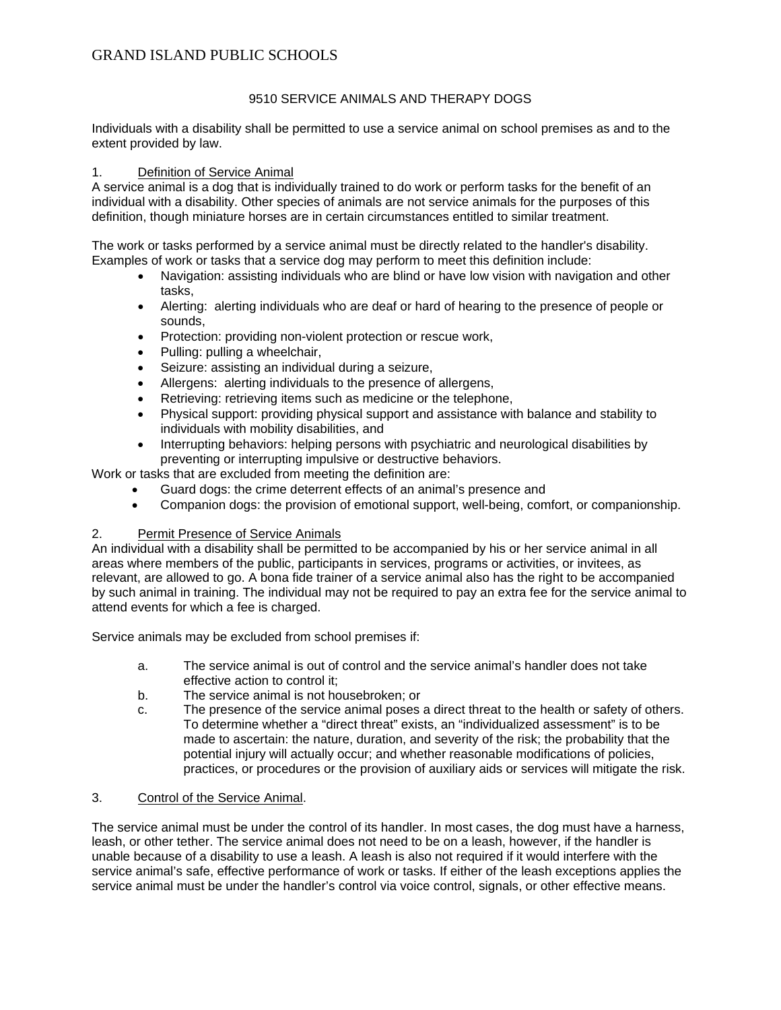# GRAND ISLAND PUBLIC SCHOOLS

### 9510 SERVICE ANIMALS AND THERAPY DOGS

Individuals with a disability shall be permitted to use a service animal on school premises as and to the extent provided by law.

### 1. Definition of Service Animal

A service animal is a dog that is individually trained to do work or perform tasks for the benefit of an individual with a disability. Other species of animals are not service animals for the purposes of this definition, though miniature horses are in certain circumstances entitled to similar treatment.

The work or tasks performed by a service animal must be directly related to the handler's disability. Examples of work or tasks that a service dog may perform to meet this definition include:

- Navigation: assisting individuals who are blind or have low vision with navigation and other tasks,
- Alerting: alerting individuals who are deaf or hard of hearing to the presence of people or sounds,
- Protection: providing non-violent protection or rescue work,
- Pulling: pulling a wheelchair,
- Seizure: assisting an individual during a seizure,
- Allergens: alerting individuals to the presence of allergens,
- Retrieving: retrieving items such as medicine or the telephone,
- Physical support: providing physical support and assistance with balance and stability to individuals with mobility disabilities, and
- Interrupting behaviors: helping persons with psychiatric and neurological disabilities by preventing or interrupting impulsive or destructive behaviors.

Work or tasks that are excluded from meeting the definition are:

- Guard dogs: the crime deterrent effects of an animal's presence and
- Companion dogs: the provision of emotional support, well-being, comfort, or companionship.

#### 2. Permit Presence of Service Animals

An individual with a disability shall be permitted to be accompanied by his or her service animal in all areas where members of the public, participants in services, programs or activities, or invitees, as relevant, are allowed to go. A bona fide trainer of a service animal also has the right to be accompanied by such animal in training. The individual may not be required to pay an extra fee for the service animal to attend events for which a fee is charged.

Service animals may be excluded from school premises if:

- a. The service animal is out of control and the service animal's handler does not take effective action to control it;
- b. The service animal is not housebroken; or
- c. The presence of the service animal poses a direct threat to the health or safety of others. To determine whether a "direct threat" exists, an "individualized assessment" is to be made to ascertain: the nature, duration, and severity of the risk; the probability that the potential injury will actually occur; and whether reasonable modifications of policies, practices, or procedures or the provision of auxiliary aids or services will mitigate the risk.

### 3. Control of the Service Animal.

The service animal must be under the control of its handler. In most cases, the dog must have a harness, leash, or other tether. The service animal does not need to be on a leash, however, if the handler is unable because of a disability to use a leash. A leash is also not required if it would interfere with the service animal's safe, effective performance of work or tasks. If either of the leash exceptions applies the service animal must be under the handler's control via voice control, signals, or other effective means.